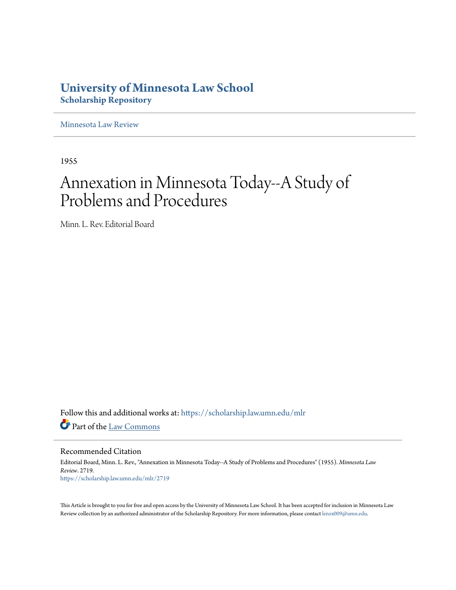# **University of Minnesota Law School [Scholarship Repository](https://scholarship.law.umn.edu?utm_source=scholarship.law.umn.edu%2Fmlr%2F2719&utm_medium=PDF&utm_campaign=PDFCoverPages)**

[Minnesota Law Review](https://scholarship.law.umn.edu/mlr?utm_source=scholarship.law.umn.edu%2Fmlr%2F2719&utm_medium=PDF&utm_campaign=PDFCoverPages)

1955

# Annexation in Minnesota Today--A Study of Problems and Procedures

Minn. L. Rev. Editorial Board

Follow this and additional works at: [https://scholarship.law.umn.edu/mlr](https://scholarship.law.umn.edu/mlr?utm_source=scholarship.law.umn.edu%2Fmlr%2F2719&utm_medium=PDF&utm_campaign=PDFCoverPages) Part of the [Law Commons](http://network.bepress.com/hgg/discipline/578?utm_source=scholarship.law.umn.edu%2Fmlr%2F2719&utm_medium=PDF&utm_campaign=PDFCoverPages)

Recommended Citation

Editorial Board, Minn. L. Rev., "Annexation in Minnesota Today--A Study of Problems and Procedures" (1955). *Minnesota Law Review*. 2719. [https://scholarship.law.umn.edu/mlr/2719](https://scholarship.law.umn.edu/mlr/2719?utm_source=scholarship.law.umn.edu%2Fmlr%2F2719&utm_medium=PDF&utm_campaign=PDFCoverPages)

This Article is brought to you for free and open access by the University of Minnesota Law School. It has been accepted for inclusion in Minnesota Law Review collection by an authorized administrator of the Scholarship Repository. For more information, please contact [lenzx009@umn.edu.](mailto:lenzx009@umn.edu)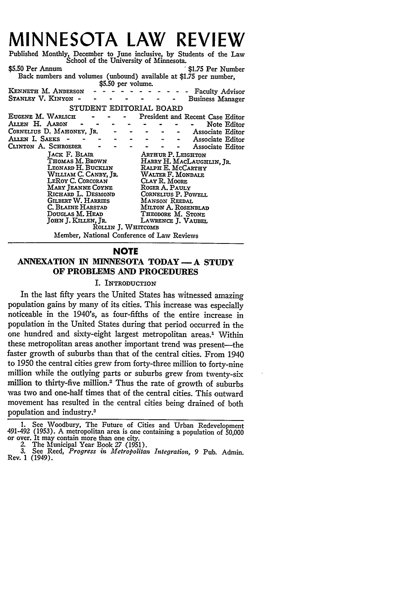# **MINNESOTA LAW REVIEW**

Published Monthly, December to June inclusive, **by** Students of the Law School of the University of Minnesota. **\$5.50** Per Annum **1 \$1.75** Per Number

Back numbers and volumes (unbound) available at \$1.75 per number,  $$5.50$  per volume.

|                                            |  |                           |  | wwww per sermana    |                           |  |  |  |                                  |  |
|--------------------------------------------|--|---------------------------|--|---------------------|---------------------------|--|--|--|----------------------------------|--|
| KENNETH M. ANDERSON                        |  |                           |  |                     |                           |  |  |  | <b>Faculty Advisor</b>           |  |
| STANLEY V. KINYON -                        |  |                           |  |                     |                           |  |  |  | <b>Business Manager</b>          |  |
| STUDENT EDITORIAL BOARD                    |  |                           |  |                     |                           |  |  |  |                                  |  |
| EUGENE M. WARLICH                          |  |                           |  |                     |                           |  |  |  | President and Recent Case Editor |  |
| Allen H. Aaron                             |  |                           |  |                     |                           |  |  |  | Note Editor                      |  |
| CORNELIUS D. MAHONEY, JR.                  |  |                           |  |                     |                           |  |  |  | Associate Editor                 |  |
| Allen I. Saeks -                           |  |                           |  |                     |                           |  |  |  | Associate Editor                 |  |
| CLINTON A. SCHROEDER                       |  |                           |  |                     |                           |  |  |  | Associate Editor                 |  |
| <b>LACK F. BLAIR</b>                       |  | <b>ARTHUR P. LEIGHTON</b> |  |                     |                           |  |  |  |                                  |  |
| THOMAS M. BROWN                            |  |                           |  |                     | HARRY H. MACLAUGHLIN, JR. |  |  |  |                                  |  |
| LEONARD H. BUCKLIN                         |  |                           |  |                     | RALPH E. MCCARTHY         |  |  |  |                                  |  |
| WILLIAM C. CANBY, JR.                      |  |                           |  |                     | WALTER F. MONDALE         |  |  |  |                                  |  |
| LEROY C. CORCORAN                          |  |                           |  |                     | CLAY R. MOORE             |  |  |  |                                  |  |
| Mary Jeanne Coyne                          |  |                           |  | ROGER A. PAULY      |                           |  |  |  |                                  |  |
| RICHARD L. DESMOND                         |  |                           |  | CORNELIUS P. POWELL |                           |  |  |  |                                  |  |
| <b>GILBERT W. HARRIES</b>                  |  |                           |  |                     | MANSON REEDAL             |  |  |  |                                  |  |
| C. Blaine Harstad                          |  |                           |  |                     | MILTON A. ROSENBLAD       |  |  |  |                                  |  |
| Douglas M. Head                            |  |                           |  |                     | THEODORE M. STONE         |  |  |  |                                  |  |
| JOHN J. KILLEN, JR.                        |  |                           |  | LAWRENCE J. VAUBEL  |                           |  |  |  |                                  |  |
|                                            |  |                           |  | ROLLIN J. WHITCOMB  |                           |  |  |  |                                  |  |
| Member, National Conference of Law Reviews |  |                           |  |                     |                           |  |  |  |                                  |  |

#### **NOTE**

# **ANNEXATION IN MINNESOTA TODAY- A STUDY OF PROBLEMS AND PROCEDURES**

### I. INTRODUCTION

In the last fifty years the United States has witnessed amazing population gains by many of its cities. This increase was especially noticeable in the 1940's, as four-fifths of the entire increase in population in the United States during that period occurred in the one hundred and sixty-eight largest metropolitan areas.<sup>1</sup> Within these metropolitan areas another important trend was present-the faster growth of suburbs than that of the central cities. From 1940 to 1950 the central cities grew from forty-three million to forty-nine million while the outlying parts or suburbs grew from twenty-six million to thirty-five million.2 Thus the rate of growth of suburbs was two and one-half times that of the central cities. This outward movement has resulted in the central cities being drained of both population and industry.3

1. See Woodbury, The Future of Cities and Urban Redevelopment 491-492 (1953). A metropolitan area is one containing a population of 50,000 or over. It may contain more than one city.

**3.** See Reed, *Progress in Metropolitan Integration,* **9** Pub. Admin. Rev. 1 (1949).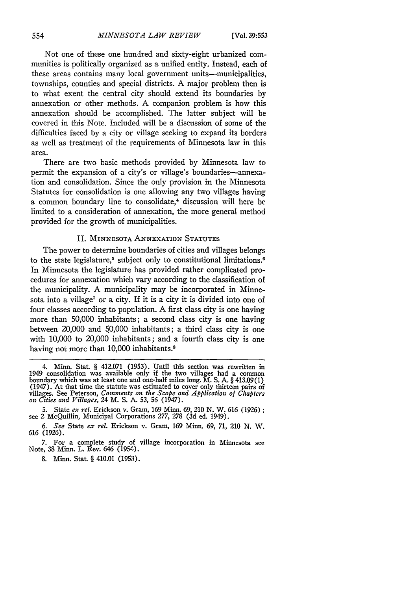Not one of these one hundred and sixty-eight urbanized communities is politically organized as a unified entity. Instead, each of these areas contains many local government units—municipalities, townships, counties and special districts. A major problem then is to what exent the central city should extend its boundaries by annexation or other methods. A companion problem is how this annexation should be accomplished. The latter subject will be covered in this Note. Included will be a discussion of some of the difficulties faced by a city or village seeking to expand its borders as well as treatment of the requirements of Minnesota law in this area.

There are two basic methods provided by Minnesota law to permit the expansion of a city's or village's boundaries-annexation and consolidation. Since the only provision in the Minnesota Statutes for consolidation is one allowing any two villages having a common boundary line to consolidate,<sup>4</sup> discussion will here be limited to a consideration of annexation, the more general method provided for the growth of municipalities.

### II. MINNESOTA ANNEXATION STATUTES

The power to determine boundaries of cities and villages belongs to the state legislature,<sup>5</sup> subject only to constitutional limitations.<sup>6</sup> In Minnesota the legislature has provided rather complicated procedures for annexation which vary according to the classification of the municipality. A municipality may be incorporated in Minnesota into a village<sup>7</sup> or a city. If it is a city it is divided into one of four classes according to population. A first class city is one having more than 50,000 inhabitants; a second class city is one having between 20,000 and 50,000 inhabitants; a third class city is one with 10,000 to 20,000 inhabitants; and a fourth class city is one having not more than 10,000 inhabitants.<sup>8</sup>

**8. Minn.** Stat. § 410.01 **(1953).**

<sup>4.</sup> Minn. Stat. § 412.071 (1953). Until this section was rewritten in 1949 consolidation was available only if the two villages had a common boundary which was at least one and one-half miles long. M. S. A. § 413.09(1) (1947). At that time the statute was estimated to cover only thirteen pairs of villages. See Peterson, *Comments on the Scope and Application of Chapters on Cities and Villages,* 24 M. **S. A. 53, 56** (1947).

**<sup>5.</sup>** State *ex rel.* Erickson v. Gram, **169** Minn. **69, 210 N.** W. **616 (1926)** see 2 McQuillin, Municipal Corporations **277, 278 (3d** ed. 1949).

*<sup>6.</sup> See* State *ex rel.* Erickson v. Gram, **169** Minn. 69, 71, 210 **N.** W. 616 (1926).

**<sup>7.</sup>** For a complete study of village incorporation in Minnesota see Note, **38 Minn.** L. Rev. 646 (1954.).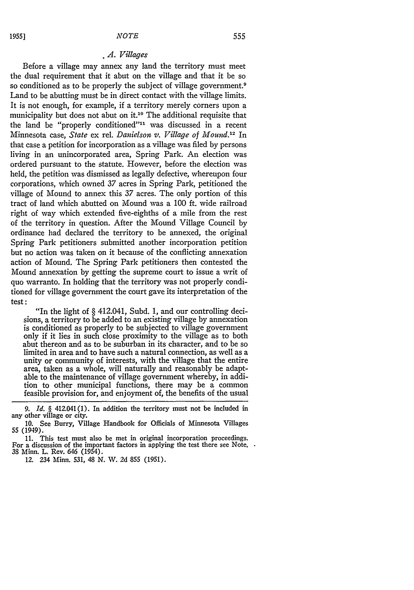#### *. 4. Villages*

Before a village may annex any land the territory must meet the dual requirement that it abut on the village and that it be so so conditioned as to be properly the subject of village government.<sup>9</sup> Land to be abutting must be in direct contact with the village limits. It is not enough, for example, if a territory merely corners upon a municipality but does not abut on it.<sup>10</sup> The additional requisite that the land be "properly conditioned"" was discussed in a recent Minnesota case, *State* ex rel. *Danielson v. Village of Mound.*<sup>12</sup> In that case a petition for incorporation as a village was filed **by** persons living in an unincorporated area, Spring Park. An election was ordered pursuant to the statute. However, before the election was held, the petition was dismissed as legally defective, whereupon four corporations, which owned 37 acres in Spring Park, petitioned the village of Mound to annex this 37 acres. The only portion of this tract of land which abutted on Mound was a 100 **ft.** wide railroad right of way which extended five-eighths of a mile from the rest of the territory in question. After the Mound Village Council **by** ordinance had declared the territory to be annexed, the original Spring Park petitioners submitted another incorporation petition but no action was taken on it because of the conflicting annexation action of Mound. The Spring Park petitioners then contested the Mound annexation by getting the supreme court to issue a writ of quo warranto. In holding that the territory was not properly conditioned for village government the court gave its interpretation of the test **:**

"In the light of § 412.041, Subd. 1, and our controlling decisions, a territory to be added to an existing village by annexation is conditioned as properly to be subjected to village government only if it lies in such close proximity to the village as to both abut thereon and as to be suburban in its character, and to be so limited in area and to have such a natural connection, as well as a unity or community of interests, with the village that the entire area, taken as a whole, will naturally and reasonably be adaptable to the maintenance of village government whereby, in addition to other municipal functions, there may be a common feasible provision for, and enjoyment of, the benefits of the usual

12. 234 Minn. 531, 48 N. W. 2d 855 (1951).

*<sup>9.</sup> Id. §* 412.041 (1). In addition the territory must not be included in any other village or city.

<sup>10.</sup> See Burry, Village Handbook for Officials of Minnesota Villages **55** (1949).

<sup>11.</sup> This test must also be met in original incorporation proceedings. For a discussion of the important factors in applying the test there see Note, 38 Minn. L. Rev. 646 (1954).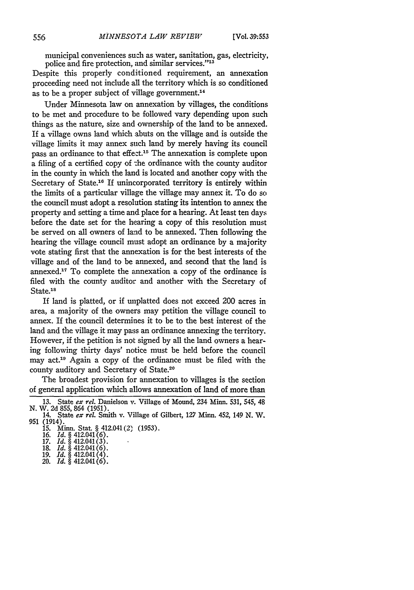municipal conveniences such as water, sanitation, gas, electricity, police and fire protection, and similar services."<sup>13</sup>

Despite this properly conditioned requirement, an annexation proceeding need not include all the territory which is so conditioned as to be a proper subject of village government.<sup>14</sup>

Under Minnesota law on annexation by villages, the conditions to be met and procedure to be followed vary depending upon such things as the nature, size and ownership of the land to be annexed. If a village owns land which abuts on the village and is outside the village limits it may annex such land by merely having its council pass an ordinance to that effect.<sup>15</sup> The annexation is complete upon a filing of a certified copy of the ordinance with the county auditor in the county in which the land is located and another copy with the Secretary of State.<sup>16</sup> If unincorporated territory is entirely within the limits of a particular village the village may annex it. To do so the council must adopt a resolution stating its intention to annex the property and setting a time and place for a hearing. At least ten days before the date set for the hearing a copy of this resolution must be served on all owners of land to be annexed. Then following the hearing the village council must adopt an ordinance by a majority vote stating first that the annexation is for the best interests of the village and of the land to be annexed, and second that the land is annexed.17 To complete the annexation a copy of the ordinance is filed with the county auditor and another with the Secretary of State.<sup>18</sup>

If land is platted, or if unplatted does not exceed 200 acres in area, a majority of the owners may petition the village council to annex. If the council determines it to be to the best interest of the land and the village it may pass an ordinance annexing the territory. However, if the petition is not signed by all the land owners a hearing following thirty days' notice must be held before the council may act.'9 Again a copy of the ordinance must be filed with the county auditory and Secretary of State.<sup>20</sup>

The broadest provision for annexation to villages is the section of general application which allows annexation of land of more than

- 
- 19. *Id.* § 412.041(4). 20. *Id.* § 412.041(6).
- 

**<sup>13.</sup>** State *ex rel.* Danielson v. Village of Mound, 234 Minn. 531, 545, 48 N. W. **2d** 855, 864 (1951).

<sup>14.</sup> State *ex rel.* Smith v. Village of Gilbert, *127* Minn. 452, 149 N. W. 951 (1914). 15. Minn. Stat § 412.041(2) (1953).

<sup>16.</sup> *Id. §* 412.041(6).

<sup>17.</sup> *Id. §* 412.041(3). 18. *Id. §* 412.041(6).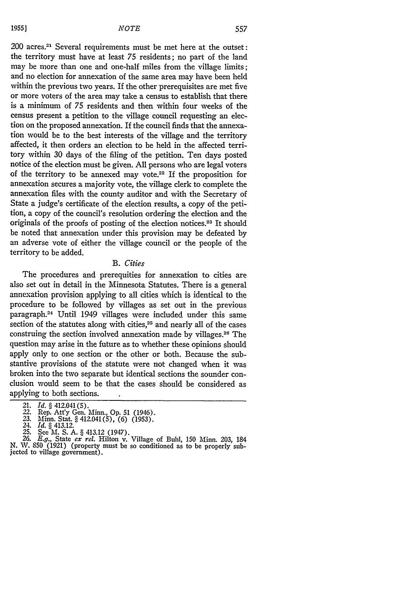200 acres.<sup>21</sup> Several requirements must be met here at the outset: the territory must have at least 75 residents; no part of the land may be more than one and one-half miles from the village limits; and no election for annexation of the same area may have been held within the previous two years. If the other prerequisites are met five or more voters of the area may take a census to establish that there is a minimum of 75 residents and then within four weeks of the census present a petition to the village council requesting an election on the proposed annexation. If the council finds that the annexation would be to the best interests of the village and the territory affected, it then orders an election to be held in the affected territory within 30 days of the filing of the petition. Ten days posted notice of the election must be given. All persons who are legal voters of the territory to be annexed may vote.<sup>22</sup> If the proposition for annexation secures a majority vote, the village clerk to complete the annexation files with the county auditor and with the Secretary of State a judge's certificate of the election results, a copy of the petition, a copy of the council's resolution ordering the election and the originals of the proofs of posting of the election notices. 23 It should be noted that annexation under this provision may be defeated by an adverse vote of either the village council or the people of the territory to be added.

#### *B. Cities*

The procedures and prerequities for annexation to cities are also set out in detail in the Minnesota Statutes. There is a general annexation provision applying to all cities which is identical to the procedure to be followed by villages as set out in the previous paragraph.<sup>24</sup> Until 1949 villages were included under this same section of the statutes along with cities,<sup>25</sup> and nearly all of the cases construing the section involved annexation made by villages.<sup>26</sup> The question may arise in the future as to whether these opinions should apply only to one section or the other or both. Because the substantive provisions of the statute were not changed when it was broken into the two separate but identical sections the sounder conclusion would seem to be that the cases should be considered as applying to both sections.

<sup>21.</sup> *Id.* § 412.041(5).<br>22. Rep. Att'y Gen. Minn., Op. 51 (1946).<br>23. Minn. Stat. § 412.041(5), (6) (1953).<br>24. *Id.* § 413.12.

<sup>24.</sup> *Id.* § 413.12.<br>25. See M. S. A. § 413.12 (1947).

<sup>25.</sup> See M. S. A. § 413.12 (1947). *26. E.g.,* State *ex rel.* Hilton v. Village of Buhl, 150 Minn. 203, 184 N. W. **850** (1921) (property must be so conditioned as to be properly subjected to village government).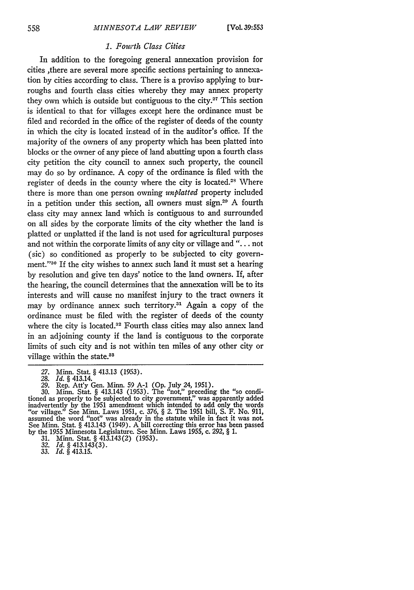#### *1. Fowrth Class Cities*

In addition to the foregoing general annexation provision for cities ,there are several more specific sections pertaining to annexation **by** cities according to class. There is a proviso applying to burroughs and fourth class cities whereby they may annex property they own which is outside but contiguous to the city.<sup>27</sup> This section is identical to that for villages except here the ordinance must be filed and recorded in the office of the register of deeds of the county in which the city is located instead of in the auditor's office. If the majority of the owners of any property which has been platted into blocks or the owner of any piece of land abutting upon a fourth class city petition the city council to annex such property, the council may do so **by** ordinance. **A** copy of the ordinance is filed with the register of deeds in the county where the city is located.<sup>28</sup> Where there is more than one person owning *unplatted* property included in a petition under this section, all owners must sign.<sup>29</sup> A fourth class city may annex land which is contiguous to and surrounded on all sides **by** the corporate limits of the city whether the land is platted or unplatted if the land is not used for agricultural purposes and not within the corporate limits of any city or village and **". .** not (sic) so conditioned as properly to be subjected to city government."<sup>30</sup> If the city wishes to annex such land it must set a hearing **by** resolution and give ten days' notice to the land owners. If, after the hearing, the council determines that the annexation will be to its interests and will cause no manifest injury to the tract owners it may by ordinance annex such territory.<sup>31</sup> Again a copy of the ordinance must be filed with the register of deeds of the county where the city is located.<sup>32</sup> Fourth class cities may also annex land in an adjoining county if the land is contiguous to the corporate limits of such city and is not within ten miles of any other city or village within the state.<sup>88</sup>

*27.* Minn. Stat § 413.13 (1953). 28. *Id. §* 413.14. 29. Rep. Att'y Gen. Minn. 59 **A-1 (Op.** July 24, 1951).

- 
- **32.** *Id. §* 413.143(3). 33. *Id. §* 413.15.
- 

<sup>30.</sup> Minn. Stat. § 413.143 (1953). The "not," preceding the "so condi-tioned as properly to be subjected to city government," was apparently added inadvertently by the 1951 amendment which intended to add only the words "or village." See Minn. Laws 1951, c. 376, § 2. The 1951 bill, S. F. No. 911, assumed the word "not" was already in the statute while in fact it was not. See Minn. Stat. § 413.143 (1949). A bill correcting this error has been passed by the 1955 Minnesota Legislature. See Minn. Laws 1955, c. 292, § 1. 31. Minn. Stat. § 413.143(2) (1953).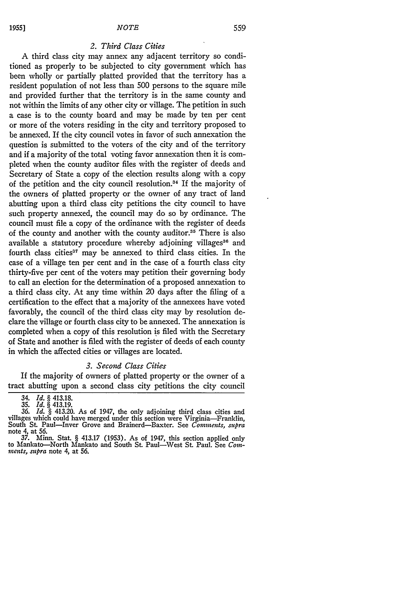#### *2. Third Class Cities*

A third class city may annex any adjacent territory so conditioned as properly to be subjected to city government which has been wholly or partially platted provided that the territory has a resident population of not less than 500 persons to the square mile and provided further that the territory is in the same county and not within the limits of any other city or village. The petition in such a case is to the county board and may be made by ten per cent or more of the voters residing in the city and territory proposed to be annexed. If the city council votes in favor of such annexation the question is submitted to the voters of the city and of the territory and if a majority of the total voting favor annexation then it is completed when the county auditor files with the register of deeds and Secretary of State a copy of the election results along with a copy of the petition and the city council resolution.<sup>34</sup> If the majority of the owners of platted property or the owner of any tract of land abutting upon a third class city petitions the city council to have such property annexed, the council may do so by ordinance. The council must file a copy of the ordinance with the register of deeds of the county and another with the county auditor.<sup>35</sup> There is also available a statutory procedure whereby adjoining villages<sup>36</sup> and fourth class cities<sup>37</sup> may be annexed to third class cities. In the case of a village ten per cent and in the case of a fourth class city thirty-five per cent of the voters may petition their governing body to call an election for the determination of a proposed annexation to a third class city. At any time within 20 days after the filing of a certification to the effect that a majority of the annexees have voted favorably, the council of the third class city may by resolution declare the village or fourth class city to be annexed. The annexation is completed when a copy of this resolution is filed with the Secretary of State and another is filed with the register of deeds of each county in which the affected cities or villages are located.

#### *3. Second Class Cities*

If the majority of owners of platted property or the owner of a tract abutting upon a second class city petitions the city council

*<sup>34.</sup> Id. §* 413.18. *35. Id. §* 413.19.

<sup>36.</sup> *Id. §* 413.20. As of 1947, the only adjoining third class cities and villages which could have merged under this section were Virginia-Franklin, South St. Paul-Inver Grove and Brainerd-Baxter. See *Comments, supra* note 4, at 56.

<sup>37.</sup> Minn. Stat. *§* 413.17 (1953). As of 1947, this section applied only to Mankato-North Mankato and South St. Paul-West St. Paul. See *Conments, supra* note 4, at 56.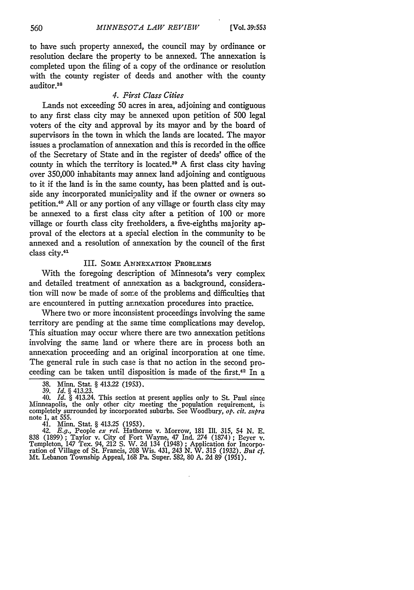to have such property annexed, the council may by ordinance or resolution declare the property to be annexed. The annexation is completed upon the filing of a copy of the ordinance or resolution with the county register of deeds and another with the county auditor.<sup>38</sup>

## *4. First Class Cities*

Lands not exceeding 50 acres in area, adjoining and contiguous to any first class city may be annexed upon petition of 500 legal voters of the city and approval **by** its mayor and **by** the board of supervisors in the town in which the lands are located. The mayor issues a proclamation of annexation and this is recorded in the office of the Secretary of State and in the register of deeds' office of the county in which the territory is located.<sup>39</sup> A first class city having over 350,000 inhabitants may annex land adjoining and contiguous to it if the land is in the same. county, has been platted and is outside any incorporated municipality and if the owner or owners so petition. <sup>4</sup> 0 All or any portion of any village or fourth class city may be annexed to a first class city after a petition of 100 or more village or fourth class city freeholders, a five-eighths majority approval of the electors at a special election in the community to be annexed and a resolution of annexation **by** the council of the first class city.<sup>41</sup>

#### III. **SOME** ANNEXATION PROBLEMS

With the foregoing description of Minnesota's very complex and detailed treatment of annexation as a background, consideration will now be made of some of the problems and difficulties that are encountered in putting annexation procedures into practice.

Where two or more inconsistent proceedings involving the same territory are pending at the same time complications may develop. This situation may occur where there are two annexation petitions involving the same land or where there are in process both an annexation proceeding and an original incorporation at one time. The general rule in such case is that no action in the second proceeding can be taken until disposition is made of the first.<sup>42</sup> In a

**<sup>38.</sup>** Minn. Stat. § 413.22 (1953).

<sup>39.</sup> *Id.* § 413.23. 40. *Id.* § 413.24. This section at present applies only to St. Paul since Minneapolis, the only other city meeting the population requirement, is completely surrounded by incorporated suburbs. See Woodbury, *op. cit. supra* note 1, at 555.

<sup>41.</sup> Minn. Stat. § 413.25 (1953).

<sup>42.</sup> *E.g.,* People *ex rel.* Hathorne v. Morrow, 181 Ill. 315, *54* N. E. 838 (1899); Taylor v. City of Fort Wayne, 47 Ind. 274 (1874); Beyer v.<br>Templeton, 147 Tex. 94, 212 S. W. 2d 134 (1948); Application for Incorporation of Village of St. Francis, 208 Wis. 431, 243 N. W. 315 (1932). But cf.<br>M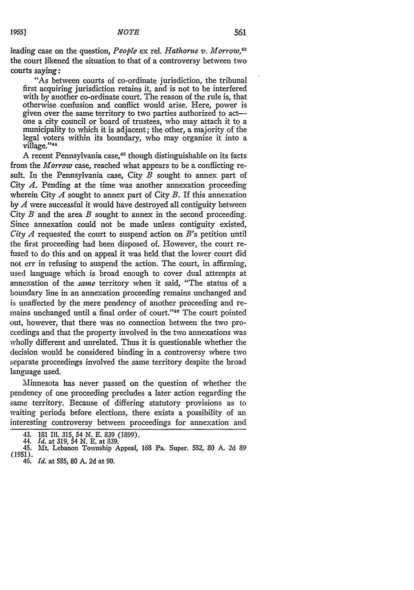leading case on the question, *People* ex rel. *Hathorne v. Morrow,43* the court likened the situation to that of a controversy between two courts saying:

"As between courts of co-ordinate jurisdiction, the tribunal first acquiring jurisdiction retains it, and is not to be interfered with by another co-ordinate court. The reason of the rule is, that otherwise confusion and conflict would arise. Here, power is given over the same territory to two parties authorized to actone a city council or board of trustees, who may attach it to a municipality to which it is adjacent; the other, a majority of the legal voters within its boundary, who may organize it into a village."<sup>44</sup>

A recent Pennsylvania case,<sup>45</sup> though distinguishable on its facts from the *Morrow* case, reached what appears to be a conflicting result. In the Pennsylvania case, City *B* sought to annex part of City *A.* Pending at the time was another annexation proceeding wherein City *A* sought to annex part of City *B.* If this annexation by *A* were successful it would have destroyed all contiguity between City *B* and the area *B* sought to annex in the second proceeding. Since annexation could not be made unless contiguity existed, *City A* requested the court to suspend action on B's petition until the first proceeding had been disposed of. However, the court refused to do this and on appeal it was held that the lower court did not err in refusing to suspend the action. The court, in affirming, used language which is broad enough to cover dual attempts at annexation of the *same* territory when it said, "The status **of** a boundary line in an annexation proceeding remains unchanged and is unaffected by the mere pendency of another proceeding and remains unchanged until a final order of court."<sup>46</sup> The court pointed out, however, that there was no connection between the two proceedings and that the property involved in the two annexations was wholly different and unrelated. Thus it is questionable whether the decision would be considered binding in a controversy where two separate proceedings involved the same territory despite the broad language used.

Minnesota has never passed on the question of whether the pendency of one proceeding precludes a later action regarding the same territory. Because of differing statutory provisions as to waiting periods before elections, there exists a possibility of an interesting controversy between proceedings for annexation and

*<sup>43.</sup>* 181 *I1.* 315, *54 N.* E. 839 (1899). 44. *Id.* at 319, *54 N.* E. at 839.

<sup>45.</sup> Mt. Lebanon Township Appeal, 168 Pa. Super. 582, **80** A. **2d** 89 (1951). *46. Id.* at 585, 80 A. 2d at 90.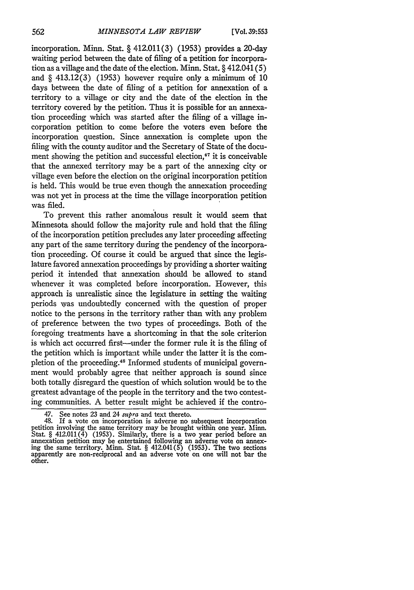incorporation. Minn. Stat.  $\S$  412.011(3) (1953) provides a 20-day waiting period between the date of filing of a petition for incorporation as a village and the date of the election. Minn. Stat. § 412.041 **(5)** and  $\S$  413.12(3) (1953) however require only a minimum of 10 days between the date of filing of a petition for annexation of a territory to a village or city and the date of the election in the territory covered **by** the petition. Thus it is possible for an annexation proceeding which was started after the filing of a village incorporation petition to come before the voters even before the incorporation question. Since annexation is complete upon the filing with the county auditor and the Secretary of State of the document showing the petition and successful election,<sup>47</sup> it is conceivable that the annexed territory may be a part of the annexing city or village even before the election on the original incorporation petition is held. This would be true even though the annexation proceeding was not yet in process at the time the village incorporation petition was filed.

To prevent this rather anomalous result it would seem that Minnesota should follow the majority rule and hold that the filing of the incorporation petition precludes any later proceeding affecting any part of the same territory during the pendency of the incorporation proceeding. Of course it could be argued that since the legislature favored annexation proceedings **by** providing a shorter waiting period it intended that annexation should be allowed to stand whenever it was completed before incorporation. However, this approach is unrealistic since the legislature in setting the waiting periods was undoubtedly concerned with the question of proper notice to the persons in the territory rather than with any problem of preference between the two types of proceedings. Both of the foregoing treatments have a shortcoming in that the sole criterion is which act occurred first--under the former rule it is the filing of the petition which is important while under the latter it is the completion of the proceeding.<sup>48</sup> Informed students of municipal government would probably agree that neither approach is sound since both totally disregard the question of which solution would be to the greatest advantage of the people in the territory and the two contesting communities. A better result might be achieved if the contro-

<sup>47.</sup> See notes **23** and 24 *supra* and text thereto. 48. If a vote on incorporation is adverse no subsequent incorporation petition involving the same territory may be brought within one year. Minn. Stat. § 412.011(4) (1953). Similarly, there is a two year period before an annexation petition may be entertained following an adverse vote on annex-<br>ing the same territory. Minn. Stat. § 412.041(5) (1953). The two section apparently are non-reciprocal and an adverse vote on one will not bar the other.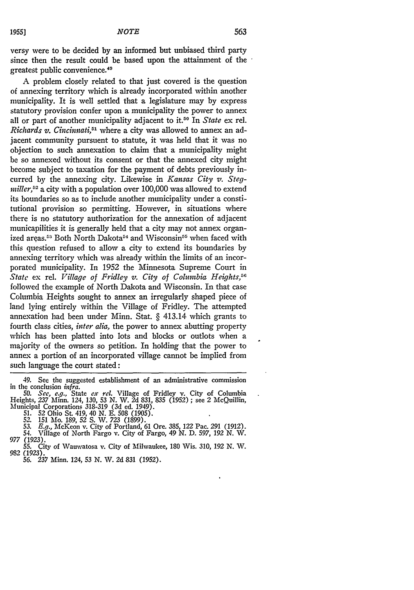versy were to be decided **by** an informed but unbiased third party since then the result could be based upon the attainment of the greatest public convenience. <sup>49</sup>

A problem closely related to that just covered is the question of annexing territory which is already incorporated within another municipality. It is well settled that a legislature may **by** express statutory provision confer upon a municipality the power to annex all or part of another municipality adjacent to it.50 In *State* ex rel. *Richards v. Cincinnati*,<sup>51</sup> where a city was allowed to annex an adjacent community pursuent to statute, it was held that it was no objection to such annexation to claim that a municipality might be so annexed without its consent or that the annexed city might become subject to taxation for the payment of debts previously incurred **by** the annexing city. Likewise in *Kansas City v. Stegmiller*,<sup>52</sup> a city with a population over 100,000 was allowed to extend its boundaries so as to include another municipality under a constitutional provision so permitting. However, in situations where there is no statutory authorization for the annexation of adjacent municapilities it is generally held that a city may not annex organized areas.<sup>53</sup> Both North Dakota<sup>54</sup> and Wisconsin<sup>55</sup> when faced with this question refused to allow a city to extend its boundaries **by** annexing territory which was already within the limits of an incorporated municipality. In 1952 the Minnesota Supreme Court in *State* ex rel. *Village of Fridley v. City of Columbia Heights,5G* followed the example of North Dakota and Wisconsin. In that case Columbia Heights sought to annex an irregularly shaped piece of land lying entirely within the Village of Fridley. The attempted annexation had been under Minn. Stat. § 413.14 which grants to fourth class cities, *inter alia,* the power to annex abutting property which has been platted into lots and blocks or outlots when a majority of the owners so petition. In holding that the power to annex a portion of an incorporated village cannot be implied from such language the court stated:

<sup>49.</sup> See the suggested establishment of an administrative commission in the conclusion *infra. 50. See, e.g.,* State *ex tel.* Village of Fridley v. City of Columbia

Heights, 237 Minn. 124, 130, *53* **N.** W. 2d 831, 835 (1952) ; see 2 McQuillin, Municipal Corporations 318-319 (3d ed. 1949).

**<sup>51.</sup>** *52* Ohio St. 419, 40 **N. E. 508** (1905).

<sup>52. 151</sup> Mo. 189, 52 S. W. 723 (1899).<br>53. E.g., McKeon v. City of Portland, 61 Ore. 385, 122 Pac. 291 (1912).<br>54. Village of North Fargo v. City of Fargo, 49 N. D. 597, 192 N. W.<br>077 (1923)

**<sup>55.</sup>** City of Wauwatosa **v.** City of Milwaukee, 180 Wis. 310, 192 N. W. 982 (1923). *56.* 237 Minn. 124, 53 N. W. 2d **831** (1952).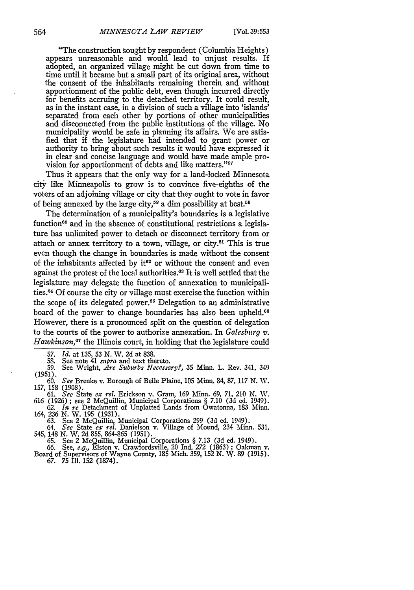"The construction sought by respondent (Columbia Heights) appears unreasonable and would lead to unjust results. If adopted, an organized village might be cut down from time to time until it became but a small part of its original area, without the consent of the inhabitants remaining therein and without apportionment of the public debt, even though incurred directly for benefits accruing to the detached territory. It could result, as in the instant case, in a division of such a village into 'islands' separated from each other by portions of other municipalities and disconnected from the public institutions of the village. No municipality would be safe in planning its affairs. We are satisfied that if the legislature had intended to grant power or authority to bring about such results it would have expressed it in clear and concise language and would have made ample provision for apportionment of debts and like matters."<sup>57</sup>

Thus it appears that the only way for a land-locked Minnesota city like Minneapolis to grow is to convince five-eighths of the voters of an adjoining village or city that they ought to vote in favor of being annexed by the large city,<sup>58</sup> a dim possibility at best.<sup>59</sup>

The determination of a municipality's boundaries is a legislative function<sup>60</sup> and in the absence of constitutional restrictions a legislature has unlimited power to detach or disconnect territory from or attach or annex territory to a town, village, or city.61 This is true even though the change in boundaries is made without the consent of the inhabitants affected by it<sup>62</sup> or without the consent and even against the protest of the local authorities.<sup>63</sup> It is well settled that the legislature may delegate the function of annexation to municipalities.64 Of course the city or village must exercise the function within the scope of its delegated power.<sup>65</sup> Delegation to an administrative board of the power to change boundaries has also been upheld.<sup>66</sup> However, there is a pronounced split on the question of delegation to the courts of the power to authorize annexation. In *Galesburg v. Hawkinson,"* the Illinois court, in holding that the legislature could

59. See Wright, *Are Subu~rbs Necessary?,* 35 Minn. L. Rev. 341, 349

(1951). 60. *See* Brenke v. Borough of Belle Plaine, **105** Minn. 84, 87, 117 N. W. 157, 158 (1908).

61. See State ex rel. Erickson v. Gram, 169 Minn. 69, 71, 210 N. W. 616 (1926); see 2 McQuillin, Municipal Corporations § 7.10 (3d ed. 1949). 62. In re Detachment of Unplatted Lands from Owatonna, 183 Minn. 164, 236 N. W.

63. See 2 McQuillin, Municipal Corporations 299 (3d ed. 1949). 64. *See* State *ex rel.* Danielson v. Village of Mound, 234 Minn. 531,

545, 148 N. W. 2d 855, 864-865 (1951).

65. See 2 McQuillin, Municipal Corporations § 7.13 (3d ed. 1949). 66. See, *e.g.,* Elston v. Crawfordsville, 20 Ind. 272 (1863) ; Oakman v. Board of Supervisors of Wayne County, 185 Mich. 359, 152 N. W. 89 (1915).

67. **75** Ill. 152 (1874).

<sup>57.</sup> *Id.* at 135, 53 *N.* W. 2d at 838.

<sup>58.</sup> See note 41 *mpra* and text thereto.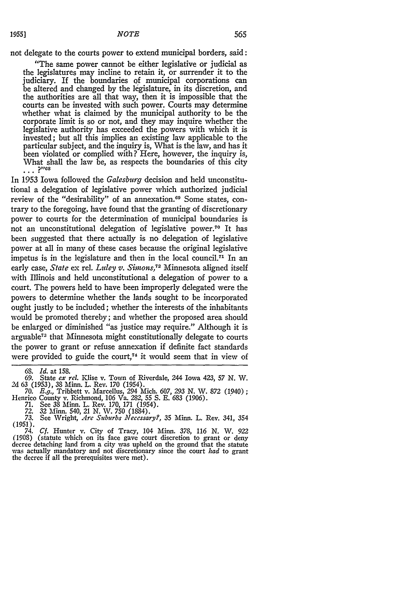not delegate to the courts power to extend municipal borders, said:

"The same power cannot be either legislative or judicial as the legislatures may incline to retain it, or surrender it to the judiciary. If the boundaries of municipal corporations can be altered and changed by the legislature, in its discretion, and the authorities are all that way, then it is impossible that the courts can be invested with such power. Courts may determine whether what is claimed by the municipal authority to be the corporate limit is so or not, and they may inquire whether the legislative authority has exceeded the powers with which it is invested; but all this implies an existing law applicable to the particular subject, and the inquiry is, What is the law, and has it been violated or complied with? Here, however, the inquiry is, What shall the law be, as respects the boundaries of this city  $\ldots$  ?"<sup>08</sup>

In 1953 Iowa followed the *Galesburg* decision and held unconstitutional a delegation of legislative power which authorized judicial review of the "desirability" of an annexation.<sup>69</sup> Some states, contrary to the foregoing, have found that the granting of discretionary power to courts for the determination of municipal boundaries is not an unconstitutional delegation of legislative power.<sup>70</sup> It has been suggested that there actually is no delegation of legislative power at all in many of these cases because the original legislative impetus is in the legislature and then in the local council.<sup> $71$ </sup> In an early case, *State* ex rel. *Luley v. Simons*,<sup>72</sup> Minnesota aligned itself with Illinois and held unconstitutional a delegation of power to a court. The powers held to have been improperly delegated were the powers to determine whether the lands sought to be incorporated ought justly to be included; whether the interests of the inhabitants would be promoted thereby; and whether the proposed area should be enlarged or diminished "as justice may require." Although it is arguable<sup>73</sup> that Minnesota might constitutionally delegate to courts the power to grant or refuse annexation if definite fact standards were provided to guide the court, $74$  it would seem that in view of

68. *Id.* at 158.

- 71. See 38 Minn. L. Rev. 170, 171 (1954).
- *72.* 32 Minn. 540, 21 N. IV. **750** (1884).

<sup>69.</sup> State *ex* rel. Iise v. Town of Riverdale, 244 Iowa 423, *57* N. W. 2d 63 (1953), 38 Minn. L. Rev. 170 (1954).

*<sup>70.</sup> E.g.,* Tribbett v. Marcellus, *294* Mich. 607, *293* N. W. 872 (1940); Henrico County v. Richmond, **106** Va. 282, 55 **S. E.** 683 (1906).

*<sup>73.</sup>* See Wright, Are *Suburbs Necessary?,* **35** Minn. L. Rev. 341, 354 **(1951).**

<sup>74.</sup> *Cf.* Hunter v. City of Tracy, 104 Minn. 378, 116 N. W. *922* decree detaching land from a city was upheld on the ground that the statute was actually mandatory and not discretionary since the court had to grant the decree if all the prerequisites were met).